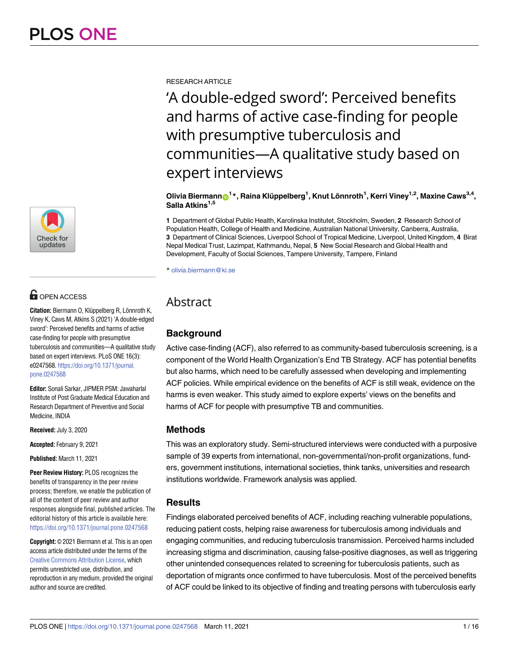

# **O** OPEN ACCESS

**Citation:** Biermann O, Klüppelberg R, Lönnroth K, Viney K, Caws M, Atkins S (2021) 'A double-edged sword': Perceived benefits and harms of active case-finding for people with presumptive tuberculosis and communities—A qualitative study based on expert interviews. PLoS ONE 16(3): e0247568. [https://doi.org/10.1371/journal.](https://doi.org/10.1371/journal.pone.0247568) [pone.0247568](https://doi.org/10.1371/journal.pone.0247568)

**Editor:** Sonali Sarkar, JIPMER PSM: Jawaharlal Institute of Post Graduate Medical Education and Research Department of Preventive and Social Medicine, INDIA

**Received:** July 3, 2020

**Accepted:** February 9, 2021

**Published:** March 11, 2021

**Peer Review History:** PLOS recognizes the benefits of transparency in the peer review process; therefore, we enable the publication of all of the content of peer review and author responses alongside final, published articles. The editorial history of this article is available here: <https://doi.org/10.1371/journal.pone.0247568>

**Copyright:** © 2021 Biermann et al. This is an open access article distributed under the terms of the Creative Commons [Attribution](http://creativecommons.org/licenses/by/4.0/) License, which permits unrestricted use, distribution, and reproduction in any medium, provided the original author and source are credited.

RESEARCH ARTICLE

'A double-edged sword': Perceived benefits and harms of active case-finding for people with presumptive tuberculosis and communities—A qualitative study based on expert interviews

 $\bullet$  **Olivia Biermann** $\bullet$ **<sup>1</sup> \*, Raina Klüppelberg<sup>1</sup>, Knut Lönnroth<sup>1</sup>, Kerri Viney<sup>1,2</sup>, Maxine Caws<sup>3,4</sup>, Salla Atkins1,5**

**1** Department of Global Public Health, Karolinska Institutet, Stockholm, Sweden, **2** Research School of Population Health, College of Health and Medicine, Australian National University, Canberra, Australia, **3** Department of Clinical Sciences, Liverpool School of Tropical Medicine, Liverpool, United Kingdom, **4** Birat Nepal Medical Trust, Lazimpat, Kathmandu, Nepal, **5** New Social Research and Global Health and Development, Faculty of Social Sciences, Tampere University, Tampere, Finland

\* olivia.biermann@ki.se

## Abstract

## **Background**

Active case-finding (ACF), also referred to as community-based tuberculosis screening, is a component of the World Health Organization's End TB Strategy. ACF has potential benefits but also harms, which need to be carefully assessed when developing and implementing ACF policies. While empirical evidence on the benefits of ACF is still weak, evidence on the harms is even weaker. This study aimed to explore experts' views on the benefits and harms of ACF for people with presumptive TB and communities.

#### **Methods**

This was an exploratory study. Semi-structured interviews were conducted with a purposive sample of 39 experts from international, non-governmental/non-profit organizations, funders, government institutions, international societies, think tanks, universities and research institutions worldwide. Framework analysis was applied.

## **Results**

Findings elaborated perceived benefits of ACF, including reaching vulnerable populations, reducing patient costs, helping raise awareness for tuberculosis among individuals and engaging communities, and reducing tuberculosis transmission. Perceived harms included increasing stigma and discrimination, causing false-positive diagnoses, as well as triggering other unintended consequences related to screening for tuberculosis patients, such as deportation of migrants once confirmed to have tuberculosis. Most of the perceived benefits of ACF could be linked to its objective of finding and treating persons with tuberculosis early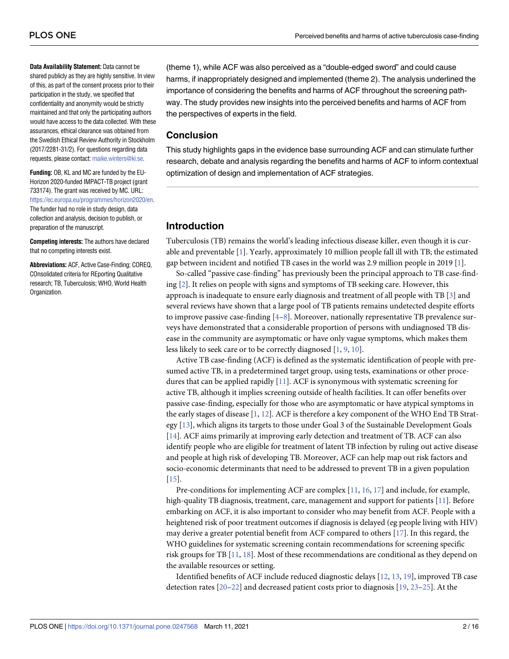<span id="page-1-0"></span>**Data Availability Statement:** Data cannot be shared publicly as they are highly sensitive. In view of this, as part of the consent process prior to their participation in the study, we specified that confidentiality and anonymity would be strictly maintained and that only the participating authors would have access to the data collected. With these assurances, ethical clearance was obtained from the Swedish Ethical Review Authority in Stockholm (2017/2281-31/2). For questions regarding data requests, please contact: [maike.winters@ki.se.](mailto:maike.winters@ki.se)

**Funding:** OB, KL and MC are funded by the EU-Horizon 2020-funded IMPACT-TB project (grant 733174). The grant was received by MC. URL: [https://ec.europa.eu/programmes/horizon2020/en.](https://ec.europa.eu/programmes/horizon2020/en) The funder had no role in study design, data collection and analysis, decision to publish, or preparation of the manuscript.

**Competing interests:** The authors have declared that no competing interests exist.

**Abbreviations:** ACF, Active Case-Finding; COREQ, COnsolidated criteria for REporting Qualitative research; TB, Tuberculosis; WHO, World Health Organization.

(theme 1), while ACF was also perceived as a "double-edged sword" and could cause harms, if inappropriately designed and implemented (theme 2). The analysis underlined the importance of considering the benefits and harms of ACF throughout the screening pathway. The study provides new insights into the perceived benefits and harms of ACF from the perspectives of experts in the field.

#### **Conclusion**

This study highlights gaps in the evidence base surrounding ACF and can stimulate further research, debate and analysis regarding the benefits and harms of ACF to inform contextual optimization of design and implementation of ACF strategies.

### **Introduction**

Tuberculosis (TB) remains the world's leading infectious disease killer, even though it is curable and preventable [[1](#page-12-0)]. Yearly, approximately 10 million people fall ill with TB; the estimated gap between incident and notified TB cases in the world was 2.9 million people in 2019 [\[1](#page-12-0)].

So-called "passive case-finding" has previously been the principal approach to TB case-finding [\[2](#page-12-0)]. It relies on people with signs and symptoms of TB seeking care. However, this approach is inadequate to ensure early diagnosis and treatment of all people with TB [[3](#page-12-0)] and several reviews have shown that a large pool of TB patients remains undetected despite efforts to improve passive case-finding  $[4-8]$ . Moreover, nationally representative TB prevalence surveys have demonstrated that a considerable proportion of persons with undiagnosed TB disease in the community are asymptomatic or have only vague symptoms, which makes them less likely to seek care or to be correctly diagnosed [\[1,](#page-12-0) [9](#page-12-0), [10](#page-12-0)].

Active TB case-finding (ACF) is defined as the systematic identification of people with presumed active TB, in a predetermined target group, using tests, examinations or other procedures that can be applied rapidly [\[11\]](#page-12-0). ACF is synonymous with systematic screening for active TB, although it implies screening outside of health facilities. It can offer benefits over passive case-finding, especially for those who are asymptomatic or have atypical symptoms in the early stages of disease [\[1,](#page-12-0) [12\]](#page-12-0). ACF is therefore a key component of the WHO End TB Strategy [\[13\]](#page-12-0), which aligns its targets to those under Goal 3 of the Sustainable Development Goals [\[14\]](#page-12-0). ACF aims primarily at improving early detection and treatment of TB. ACF can also identify people who are eligible for treatment of latent TB infection by ruling out active disease and people at high risk of developing TB. Moreover, ACF can help map out risk factors and socio-economic determinants that need to be addressed to prevent TB in a given population [\[15\]](#page-12-0).

Pre-conditions for implementing ACF are complex [\[11,](#page-12-0) [16,](#page-13-0) [17\]](#page-13-0) and include, for example, high-quality TB diagnosis, treatment, care, management and support for patients [\[11\]](#page-12-0). Before embarking on ACF, it is also important to consider who may benefit from ACF. People with a heightened risk of poor treatment outcomes if diagnosis is delayed (eg people living with HIV) may derive a greater potential benefit from ACF compared to others [\[17\]](#page-13-0). In this regard, the WHO guidelines for systematic screening contain recommendations for screening specific risk groups for TB [\[11,](#page-12-0) [18\]](#page-13-0). Most of these recommendations are conditional as they depend on the available resources or setting.

Identified benefits of ACF include reduced diagnostic delays [\[12,](#page-12-0) [13,](#page-12-0) [19\]](#page-13-0), improved TB case detection rates [[20](#page-13-0)–[22\]](#page-13-0) and decreased patient costs prior to diagnosis [[19](#page-13-0), [23](#page-13-0)–[25](#page-13-0)]. At the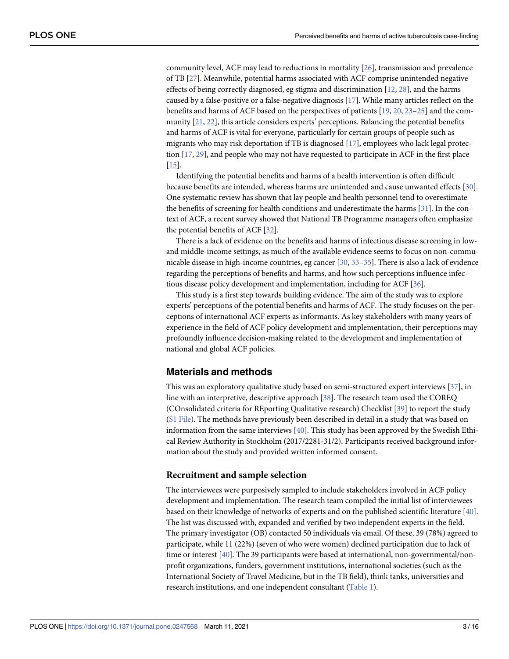<span id="page-2-0"></span>community level, ACF may lead to reductions in mortality [[26](#page-13-0)], transmission and prevalence of TB [[27](#page-13-0)]. Meanwhile, potential harms associated with ACF comprise unintended negative effects of being correctly diagnosed, eg stigma and discrimination  $[12, 28]$  $[12, 28]$  $[12, 28]$  $[12, 28]$  $[12, 28]$ , and the harms caused by a false-positive or a false-negative diagnosis [[17](#page-13-0)]. While many articles reflect on the benefits and harms of ACF based on the perspectives of patients [\[19,](#page-13-0) [20,](#page-13-0) [23–25](#page-13-0)] and the community [[21](#page-13-0), [22](#page-13-0)], this article considers experts' perceptions. Balancing the potential benefits and harms of ACF is vital for everyone, particularly for certain groups of people such as migrants who may risk deportation if TB is diagnosed [\[17\]](#page-13-0), employees who lack legal protection [[17](#page-13-0), [29](#page-13-0)], and people who may not have requested to participate in ACF in the first place [\[15\]](#page-12-0).

Identifying the potential benefits and harms of a health intervention is often difficult because benefits are intended, whereas harms are unintended and cause unwanted effects [\[30\]](#page-13-0). One systematic review has shown that lay people and health personnel tend to overestimate the benefits of screening for health conditions and underestimate the harms [\[31\]](#page-13-0). In the context of ACF, a recent survey showed that National TB Programme managers often emphasize the potential benefits of ACF [\[32\]](#page-13-0).

There is a lack of evidence on the benefits and harms of infectious disease screening in lowand middle-income settings, as much of the available evidence seems to focus on non-communicable disease in high-income countries, eg cancer [[30](#page-13-0), [33–35\]](#page-13-0). There is also a lack of evidence regarding the perceptions of benefits and harms, and how such perceptions influence infectious disease policy development and implementation, including for ACF [\[36\]](#page-14-0).

This study is a first step towards building evidence. The aim of the study was to explore experts' perceptions of the potential benefits and harms of ACF. The study focuses on the perceptions of international ACF experts as informants. As key stakeholders with many years of experience in the field of ACF policy development and implementation, their perceptions may profoundly influence decision-making related to the development and implementation of national and global ACF policies.

#### **Materials and methods**

This was an exploratory qualitative study based on semi-structured expert interviews [[37](#page-14-0)], in line with an interpretive, descriptive approach [[38](#page-14-0)]. The research team used the COREQ (COnsolidated criteria for REporting Qualitative research) Checklist [\[39\]](#page-14-0) to report the study (S1 [File\)](#page-11-0). The methods have previously been described in detail in a study that was based on information from the same interviews [[40](#page-14-0)]. This study has been approved by the Swedish Ethical Review Authority in Stockholm (2017/2281-31/2). Participants received background information about the study and provided written informed consent.

#### **Recruitment and sample selection**

The interviewees were purposively sampled to include stakeholders involved in ACF policy development and implementation. The research team compiled the initial list of interviewees based on their knowledge of networks of experts and on the published scientific literature [\[40\]](#page-14-0). The list was discussed with, expanded and verified by two independent experts in the field. The primary investigator (OB) contacted 50 individuals via email. Of these, 39 (78%) agreed to participate, while 11 (22%) (seven of who were women) declined participation due to lack of time or interest [[40](#page-14-0)]. The 39 participants were based at international, non-governmental/nonprofit organizations, funders, government institutions, international societies (such as the International Society of Travel Medicine, but in the TB field), think tanks, universities and research institutions, and one independent consultant [\(Table](#page-3-0) 1).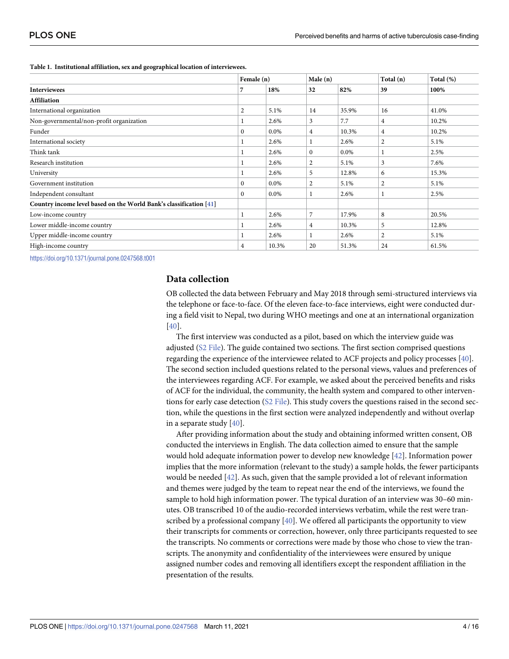|                                                                    | Female (n)   |         | Male(n)      |         | Total (n)    | Total (%) |
|--------------------------------------------------------------------|--------------|---------|--------------|---------|--------------|-----------|
| <b>Interviewees</b>                                                | 7            | 18%     | 32           | 82%     | 39           | 100%      |
| <b>Affiliation</b>                                                 |              |         |              |         |              |           |
| International organization                                         | 2            | 5.1%    | 14           | 35.9%   | 16           | 41.0%     |
| Non-governmental/non-profit organization                           |              | 2.6%    | 3            | 7.7     | 4            | 10.2%     |
| Funder                                                             | $\mathbf{0}$ | $0.0\%$ | 4            | 10.3%   | 4            | 10.2%     |
| International society                                              |              | 2.6%    | 1            | 2.6%    | $\mathbf{2}$ | 5.1%      |
| Think tank                                                         |              | 2.6%    | $\mathbf{0}$ | $0.0\%$ |              | 2.5%      |
| Research institution                                               |              | 2.6%    | 2            | 5.1%    | 3            | 7.6%      |
| University                                                         |              | 2.6%    | 5            | 12.8%   | 6            | 15.3%     |
| Government institution                                             | $\Omega$     | 0.0%    | 2            | 5.1%    | 2            | 5.1%      |
| Independent consultant                                             | $\mathbf{0}$ | 0.0%    |              | 2.6%    |              | 2.5%      |
| Country income level based on the World Bank's classification [41] |              |         |              |         |              |           |
| Low-income country                                                 |              | 2.6%    | 7            | 17.9%   | 8            | 20.5%     |
| Lower middle-income country                                        |              | 2.6%    | 4            | 10.3%   | 5            | 12.8%     |
| Upper middle-income country                                        |              | 2.6%    | 1            | 2.6%    | 2            | 5.1%      |
| High-income country                                                | 4            | 10.3%   | 20           | 51.3%   | 24           | 61.5%     |

#### <span id="page-3-0"></span>**[Table](#page-2-0) 1. Institutional affiliation, sex and geographical location of interviewees.**

<https://doi.org/10.1371/journal.pone.0247568.t001>

#### **Data collection**

OB collected the data between February and May 2018 through semi-structured interviews via the telephone or face-to-face. Of the eleven face-to-face interviews, eight were conducted during a field visit to Nepal, two during WHO meetings and one at an international organization [\[40\]](#page-14-0).

The first interview was conducted as a pilot, based on which the interview guide was adjusted (S2 [File\)](#page-11-0). The guide contained two sections. The first section comprised questions regarding the experience of the interviewee related to ACF projects and policy processes [[40](#page-14-0)]. The second section included questions related to the personal views, values and preferences of the interviewees regarding ACF. For example, we asked about the perceived benefits and risks of ACF for the individual, the community, the health system and compared to other interventions for early case detection (S2 [File](#page-11-0)). This study covers the questions raised in the second section, while the questions in the first section were analyzed independently and without overlap in a separate study [\[40\]](#page-14-0).

After providing information about the study and obtaining informed written consent, OB conducted the interviews in English. The data collection aimed to ensure that the sample would hold adequate information power to develop new knowledge [\[42\]](#page-14-0). Information power implies that the more information (relevant to the study) a sample holds, the fewer participants would be needed [\[42\]](#page-14-0). As such, given that the sample provided a lot of relevant information and themes were judged by the team to repeat near the end of the interviews, we found the sample to hold high information power. The typical duration of an interview was 30–60 minutes. OB transcribed 10 of the audio-recorded interviews verbatim, while the rest were transcribed by a professional company [[40](#page-14-0)]. We offered all participants the opportunity to view their transcripts for comments or correction, however, only three participants requested to see the transcripts. No comments or corrections were made by those who chose to view the transcripts. The anonymity and confidentiality of the interviewees were ensured by unique assigned number codes and removing all identifiers except the respondent affiliation in the presentation of the results.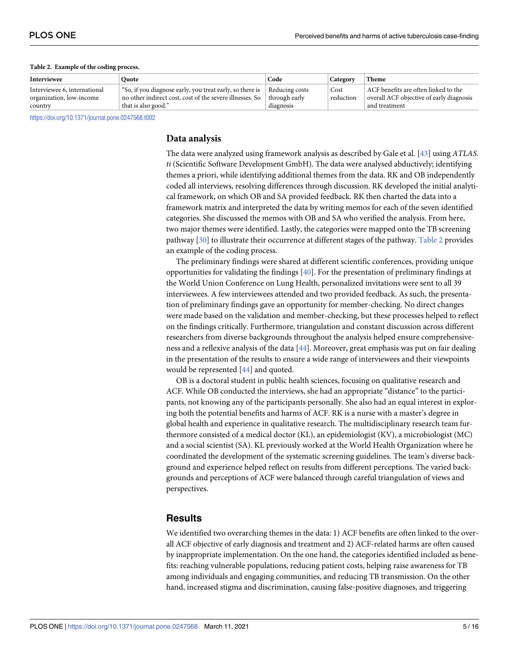| Interviewee                                              | Ouote                                                                                                                                                      | Code      | Category          | <b>Theme</b>                                                                     |
|----------------------------------------------------------|------------------------------------------------------------------------------------------------------------------------------------------------------------|-----------|-------------------|----------------------------------------------------------------------------------|
| Interviewee 6, international<br>organization, low-income | "So, if you diagnose early, you treat early, so there is $\Box$ Reducing costs<br>no other indirect cost, cost of the severe illnesses. So   through early |           | Cost<br>reduction | ACF benefits are often linked to the<br>overall ACF objective of early diagnosis |
| country                                                  | that is also good."                                                                                                                                        | diagnosis |                   | and treatment                                                                    |

#### <span id="page-4-0"></span>**Table 2. Example of the coding process.**

<https://doi.org/10.1371/journal.pone.0247568.t002>

#### **Data analysis**

The data were analyzed using framework analysis as described by Gale et al. [\[43\]](#page-14-0) using *ATLAS*. *ti* (Scientific Software Development GmbH). The data were analysed abductively; identifying themes a priori, while identifying additional themes from the data. RK and OB independently coded all interviews, resolving differences through discussion. RK developed the initial analytical framework, on which OB and SA provided feedback. RK then charted the data into a framework matrix and interpreted the data by writing memos for each of the seven identified categories. She discussed the memos with OB and SA who verified the analysis. From here, two major themes were identified. Lastly, the categories were mapped onto the TB screening pathway [\[30\]](#page-13-0) to illustrate their occurrence at different stages of the pathway. Table 2 provides an example of the coding process.

The preliminary findings were shared at different scientific conferences, providing unique opportunities for validating the findings [[40](#page-14-0)]. For the presentation of preliminary findings at the World Union Conference on Lung Health, personalized invitations were sent to all 39 interviewees. A few interviewees attended and two provided feedback. As such, the presentation of preliminary findings gave an opportunity for member-checking. No direct changes were made based on the validation and member-checking, but these processes helped to reflect on the findings critically. Furthermore, triangulation and constant discussion across different researchers from diverse backgrounds throughout the analysis helped ensure comprehensiveness and a reflexive analysis of the data [\[44\]](#page-14-0). Moreover, great emphasis was put on fair dealing in the presentation of the results to ensure a wide range of interviewees and their viewpoints would be represented [\[44\]](#page-14-0) and quoted.

OB is a doctoral student in public health sciences, focusing on qualitative research and ACF. While OB conducted the interviews, she had an appropriate "distance" to the participants, not knowing any of the participants personally. She also had an equal interest in exploring both the potential benefits and harms of ACF. RK is a nurse with a master's degree in global health and experience in qualitative research. The multidisciplinary research team furthermore consisted of a medical doctor (KL), an epidemiologist (KV), a microbiologist (MC) and a social scientist (SA). KL previously worked at the World Health Organization where he coordinated the development of the systematic screening guidelines. The team's diverse background and experience helped reflect on results from different perceptions. The varied backgrounds and perceptions of ACF were balanced through careful triangulation of views and perspectives.

#### **Results**

We identified two overarching themes in the data: 1) ACF benefits are often linked to the overall ACF objective of early diagnosis and treatment and 2) ACF-related harms are often caused by inappropriate implementation. On the one hand, the categories identified included as benefits: reaching vulnerable populations, reducing patient costs, helping raise awareness for TB among individuals and engaging communities, and reducing TB transmission. On the other hand, increased stigma and discrimination, causing false-positive diagnoses, and triggering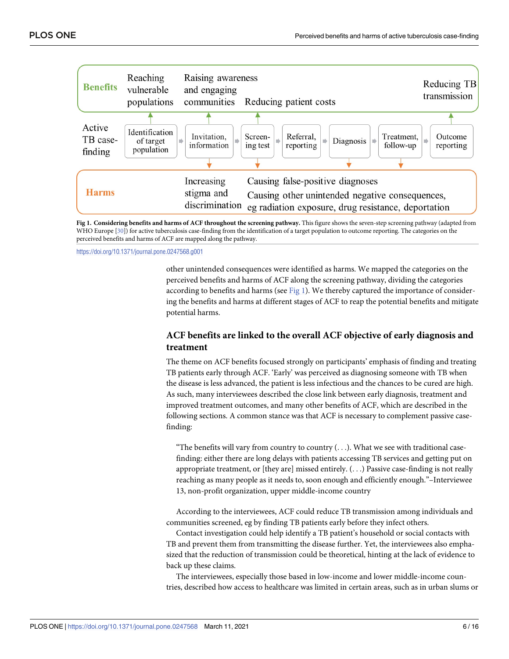

Fig 1. Considering benefits and harms of ACF throughout the screening pathway. This figure shows the seven-step screening pathway (adapted from WHO Europe [\[30\]](#page-13-0)) for active tuberculosis case-finding from the identification of a target population to outcome reporting. The categories on the perceived benefits and harms of ACF are mapped along the pathway.

<https://doi.org/10.1371/journal.pone.0247568.g001>

other unintended consequences were identified as harms. We mapped the categories on the perceived benefits and harms of ACF along the screening pathway, dividing the categories according to benefits and harms (see Fig  $1$ ). We thereby captured the importance of considering the benefits and harms at different stages of ACF to reap the potential benefits and mitigate potential harms.

#### **ACF benefits are linked to the overall ACF objective of early diagnosis and treatment**

The theme on ACF benefits focused strongly on participants' emphasis of finding and treating TB patients early through ACF. 'Early' was perceived as diagnosing someone with TB when the disease is less advanced, the patient is less infectious and the chances to be cured are high. As such, many interviewees described the close link between early diagnosis, treatment and improved treatment outcomes, and many other benefits of ACF, which are described in the following sections. A common stance was that ACF is necessary to complement passive casefinding:

"The benefits will vary from country to country (. . .). What we see with traditional casefinding: either there are long delays with patients accessing TB services and getting put on appropriate treatment, or [they are] missed entirely. (. . .) Passive case-finding is not really reaching as many people as it needs to, soon enough and efficiently enough."–Interviewee 13, non-profit organization, upper middle-income country

According to the interviewees, ACF could reduce TB transmission among individuals and communities screened, eg by finding TB patients early before they infect others.

Contact investigation could help identify a TB patient's household or social contacts with TB and prevent them from transmitting the disease further. Yet, the interviewees also emphasized that the reduction of transmission could be theoretical, hinting at the lack of evidence to back up these claims.

The interviewees, especially those based in low-income and lower middle-income countries, described how access to healthcare was limited in certain areas, such as in urban slums or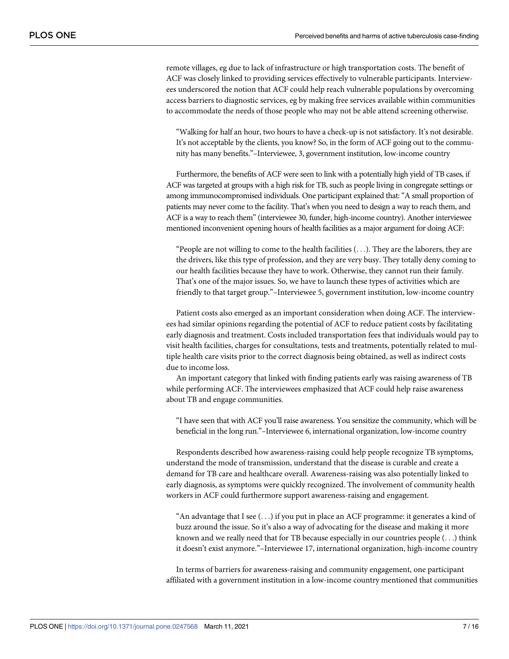remote villages, eg due to lack of infrastructure or high transportation costs. The benefit of ACF was closely linked to providing services effectively to vulnerable participants. Interviewees underscored the notion that ACF could help reach vulnerable populations by overcoming access barriers to diagnostic services, eg by making free services available within communities to accommodate the needs of those people who may not be able attend screening otherwise.

"Walking for half an hour, two hours to have a check-up is not satisfactory. It's not desirable. It's not acceptable by the clients, you know? So, in the form of ACF going out to the community has many benefits."–Interviewee, 3, government institution, low-income country

Furthermore, the benefits of ACF were seen to link with a potentially high yield of TB cases, if ACF was targeted at groups with a high risk for TB, such as people living in congregate settings or among immunocompromised individuals. One participant explained that:"A small proportion of patients may never come to the facility. That's when you need to design a way to reach them, and ACF is a way to reach them" (interviewee 30, funder, high-income country). Another interviewee mentioned inconvenient opening hours of health facilities as a major argument for doing ACF:

"People are not willing to come to the health facilities  $(\ldots)$ . They are the laborers, they are the drivers, like this type of profession, and they are very busy. They totally deny coming to our health facilities because they have to work. Otherwise, they cannot run their family. That's one of the major issues. So, we have to launch these types of activities which are friendly to that target group."–Interviewee 5, government institution, low-income country

Patient costs also emerged as an important consideration when doing ACF. The interviewees had similar opinions regarding the potential of ACF to reduce patient costs by facilitating early diagnosis and treatment. Costs included transportation fees that individuals would pay to visit health facilities, charges for consultations, tests and treatments, potentially related to multiple health care visits prior to the correct diagnosis being obtained, as well as indirect costs due to income loss.

An important category that linked with finding patients early was raising awareness of TB while performing ACF. The interviewees emphasized that ACF could help raise awareness about TB and engage communities.

"I have seen that with ACF you'll raise awareness. You sensitize the community, which will be beneficial in the long run."–Interviewee 6, international organization, low-income country

Respondents described how awareness-raising could help people recognize TB symptoms, understand the mode of transmission, understand that the disease is curable and create a demand for TB care and healthcare overall. Awareness-raising was also potentially linked to early diagnosis, as symptoms were quickly recognized. The involvement of community health workers in ACF could furthermore support awareness-raising and engagement.

"An advantage that I see (. . .) if you put in place an ACF programme: it generates a kind of buzz around the issue. So it's also a way of advocating for the disease and making it more known and we really need that for TB because especially in our countries people  $(\ldots)$  think it doesn't exist anymore."–Interviewee 17, international organization, high-income country

In terms of barriers for awareness-raising and community engagement, one participant affiliated with a government institution in a low-income country mentioned that communities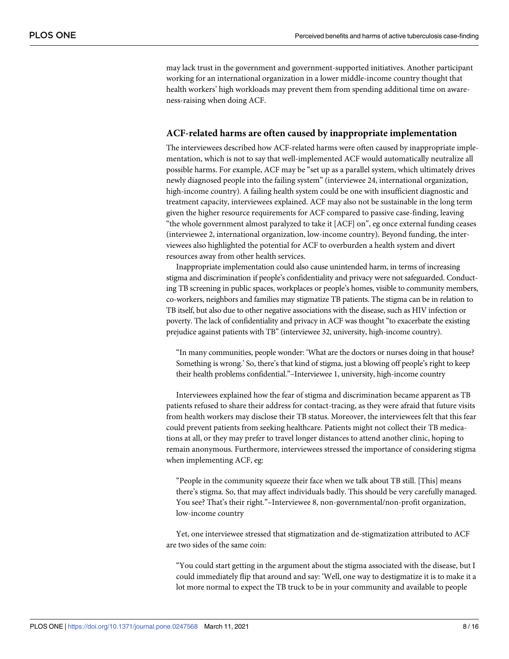may lack trust in the government and government-supported initiatives. Another participant working for an international organization in a lower middle-income country thought that health workers' high workloads may prevent them from spending additional time on awareness-raising when doing ACF.

#### **ACF-related harms are often caused by inappropriate implementation**

The interviewees described how ACF-related harms were often caused by inappropriate implementation, which is not to say that well-implemented ACF would automatically neutralize all possible harms. For example, ACF may be "set up as a parallel system, which ultimately drives newly diagnosed people into the failing system" (interviewee 24, international organization, high-income country). A failing health system could be one with insufficient diagnostic and treatment capacity, interviewees explained. ACF may also not be sustainable in the long term given the higher resource requirements for ACF compared to passive case-finding, leaving "the whole government almost paralyzed to take it [ACF] on", eg once external funding ceases (interviewee 2, international organization, low-income country). Beyond funding, the interviewees also highlighted the potential for ACF to overburden a health system and divert resources away from other health services.

Inappropriate implementation could also cause unintended harm, in terms of increasing stigma and discrimination if people's confidentiality and privacy were not safeguarded. Conducting TB screening in public spaces, workplaces or people's homes, visible to community members, co-workers, neighbors and families may stigmatize TB patients. The stigma can be in relation to TB itself, but also due to other negative associations with the disease, such as HIV infection or poverty. The lack of confidentiality and privacy in ACF was thought "to exacerbate the existing prejudice against patients with TB" (interviewee 32, university, high-income country).

"In many communities, people wonder: 'What are the doctors or nurses doing in that house? Something is wrong.' So, there's that kind of stigma, just a blowing off people's right to keep their health problems confidential."–Interviewee 1, university, high-income country

Interviewees explained how the fear of stigma and discrimination became apparent as TB patients refused to share their address for contact-tracing, as they were afraid that future visits from health workers may disclose their TB status. Moreover, the interviewees felt that this fear could prevent patients from seeking healthcare. Patients might not collect their TB medications at all, or they may prefer to travel longer distances to attend another clinic, hoping to remain anonymous. Furthermore, interviewees stressed the importance of considering stigma when implementing ACF, eg:

"People in the community squeeze their face when we talk about TB still. [This] means there's stigma. So, that may affect individuals badly. This should be very carefully managed. You see? That's their right."–Interviewee 8, non-governmental/non-profit organization, low-income country

Yet, one interviewee stressed that stigmatization and de-stigmatization attributed to ACF are two sides of the same coin:

"You could start getting in the argument about the stigma associated with the disease, but I could immediately flip that around and say: 'Well, one way to destigmatize it is to make it a lot more normal to expect the TB truck to be in your community and available to people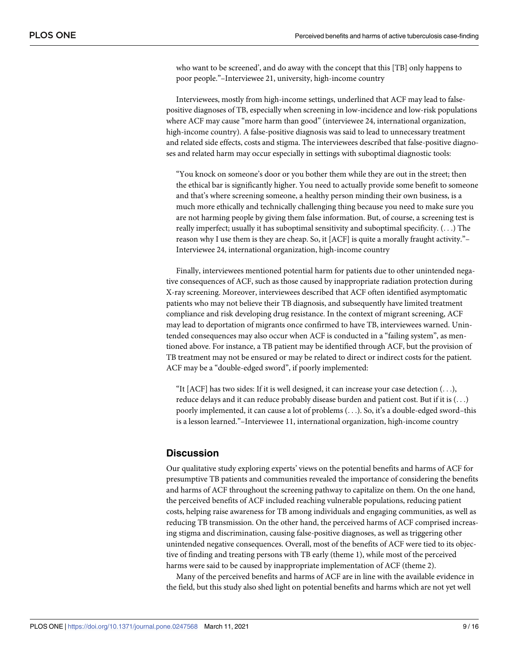who want to be screened', and do away with the concept that this [TB] only happens to poor people."–Interviewee 21, university, high-income country

Interviewees, mostly from high-income settings, underlined that ACF may lead to falsepositive diagnoses of TB, especially when screening in low-incidence and low-risk populations where ACF may cause "more harm than good" (interviewee 24, international organization, high-income country). A false-positive diagnosis was said to lead to unnecessary treatment and related side effects, costs and stigma. The interviewees described that false-positive diagnoses and related harm may occur especially in settings with suboptimal diagnostic tools:

"You knock on someone's door or you bother them while they are out in the street; then the ethical bar is significantly higher. You need to actually provide some benefit to someone and that's where screening someone, a healthy person minding their own business, is a much more ethically and technically challenging thing because you need to make sure you are not harming people by giving them false information. But, of course, a screening test is really imperfect; usually it has suboptimal sensitivity and suboptimal specificity. (. . .) The reason why I use them is they are cheap. So, it [ACF] is quite a morally fraught activity."– Interviewee 24, international organization, high-income country

Finally, interviewees mentioned potential harm for patients due to other unintended negative consequences of ACF, such as those caused by inappropriate radiation protection during X-ray screening. Moreover, interviewees described that ACF often identified asymptomatic patients who may not believe their TB diagnosis, and subsequently have limited treatment compliance and risk developing drug resistance. In the context of migrant screening, ACF may lead to deportation of migrants once confirmed to have TB, interviewees warned. Unintended consequences may also occur when ACF is conducted in a "failing system", as mentioned above. For instance, a TB patient may be identified through ACF, but the provision of TB treatment may not be ensured or may be related to direct or indirect costs for the patient. ACF may be a "double-edged sword", if poorly implemented:

"It [ACF] has two sides: If it is well designed, it can increase your case detection (. . .), reduce delays and it can reduce probably disease burden and patient cost. But if it is  $(\ldots)$ poorly implemented, it can cause a lot of problems (. . .). So, it's a double-edged sword–this is a lesson learned."–Interviewee 11, international organization, high-income country

#### **Discussion**

Our qualitative study exploring experts' views on the potential benefits and harms of ACF for presumptive TB patients and communities revealed the importance of considering the benefits and harms of ACF throughout the screening pathway to capitalize on them. On the one hand, the perceived benefits of ACF included reaching vulnerable populations, reducing patient costs, helping raise awareness for TB among individuals and engaging communities, as well as reducing TB transmission. On the other hand, the perceived harms of ACF comprised increasing stigma and discrimination, causing false-positive diagnoses, as well as triggering other unintended negative consequences. Overall, most of the benefits of ACF were tied to its objective of finding and treating persons with TB early (theme 1), while most of the perceived harms were said to be caused by inappropriate implementation of ACF (theme 2).

Many of the perceived benefits and harms of ACF are in line with the available evidence in the field, but this study also shed light on potential benefits and harms which are not yet well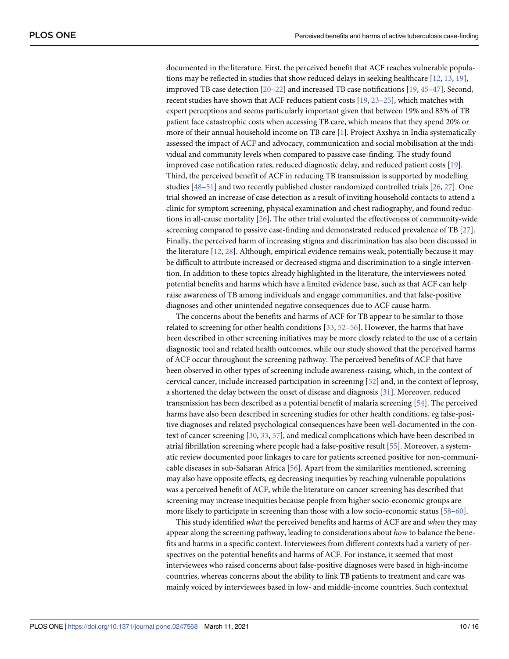<span id="page-9-0"></span>documented in the literature. First, the perceived benefit that ACF reaches vulnerable populations may be reflected in studies that show reduced delays in seeking healthcare [\[12,](#page-12-0) [13,](#page-12-0) [19\]](#page-13-0), improved TB case detection [[20–22\]](#page-13-0) and increased TB case notifications [\[19,](#page-13-0) [45–47](#page-14-0)]. Second, recent studies have shown that ACF reduces patient costs [[19](#page-13-0), [23–25\]](#page-13-0), which matches with expert perceptions and seems particularly important given that between 19% and 83% of TB patient face catastrophic costs when accessing TB care, which means that they spend 20% or more of their annual household income on TB care [\[1\]](#page-12-0). Project Axshya in India systematically assessed the impact of ACF and advocacy, communication and social mobilisation at the individual and community levels when compared to passive case-finding. The study found improved case notification rates, reduced diagnostic delay, and reduced patient costs [[19](#page-13-0)]. Third, the perceived benefit of ACF in reducing TB transmission is supported by modelling studies [\[48–51](#page-14-0)] and two recently published cluster randomized controlled trials [[26](#page-13-0), [27](#page-13-0)]. One trial showed an increase of case detection as a result of inviting household contacts to attend a clinic for symptom screening, physical examination and chest radiography, and found reductions in all-cause mortality [[26](#page-13-0)]. The other trial evaluated the effectiveness of community-wide screening compared to passive case-finding and demonstrated reduced prevalence of TB [[27](#page-13-0)]. Finally, the perceived harm of increasing stigma and discrimination has also been discussed in the literature [[12](#page-12-0), [28](#page-13-0)]. Although, empirical evidence remains weak, potentially because it may be difficult to attribute increased or decreased stigma and discrimination to a single intervention. In addition to these topics already highlighted in the literature, the interviewees noted potential benefits and harms which have a limited evidence base, such as that ACF can help raise awareness of TB among individuals and engage communities, and that false-positive diagnoses and other unintended negative consequences due to ACF cause harm.

The concerns about the benefits and harms of ACF for TB appear to be similar to those related to screening for other health conditions [\[33,](#page-13-0) [52–56\]](#page-14-0). However, the harms that have been described in other screening initiatives may be more closely related to the use of a certain diagnostic tool and related health outcomes, while our study showed that the perceived harms of ACF occur throughout the screening pathway. The perceived benefits of ACF that have been observed in other types of screening include awareness-raising, which, in the context of cervical cancer, include increased participation in screening [\[52\]](#page-14-0) and, in the context of leprosy, a shortened the delay between the onset of disease and diagnosis [[31](#page-13-0)]. Moreover, reduced transmission has been described as a potential benefit of malaria screening [\[54\]](#page-14-0). The perceived harms have also been described in screening studies for other health conditions, eg false-positive diagnoses and related psychological consequences have been well-documented in the context of cancer screening [[30](#page-13-0), [33](#page-13-0), [57](#page-15-0)], and medical complications which have been described in atrial fibrillation screening where people had a false-positive result [[55](#page-14-0)]. Moreover, a systematic review documented poor linkages to care for patients screened positive for non-communicable diseases in sub-Saharan Africa [[56](#page-14-0)]. Apart from the similarities mentioned, screening may also have opposite effects, eg decreasing inequities by reaching vulnerable populations was a perceived benefit of ACF, while the literature on cancer screening has described that screening may increase inequities because people from higher socio-economic groups are more likely to participate in screening than those with a low socio-economic status [[58–60\]](#page-15-0).

This study identified *what* the perceived benefits and harms of ACF are and *when* they may appear along the screening pathway, leading to considerations about *how* to balance the benefits and harms in a specific context. Interviewees from different contexts had a variety of perspectives on the potential benefits and harms of ACF. For instance, it seemed that most interviewees who raised concerns about false-positive diagnoses were based in high-income countries, whereas concerns about the ability to link TB patients to treatment and care was mainly voiced by interviewees based in low- and middle-income countries. Such contextual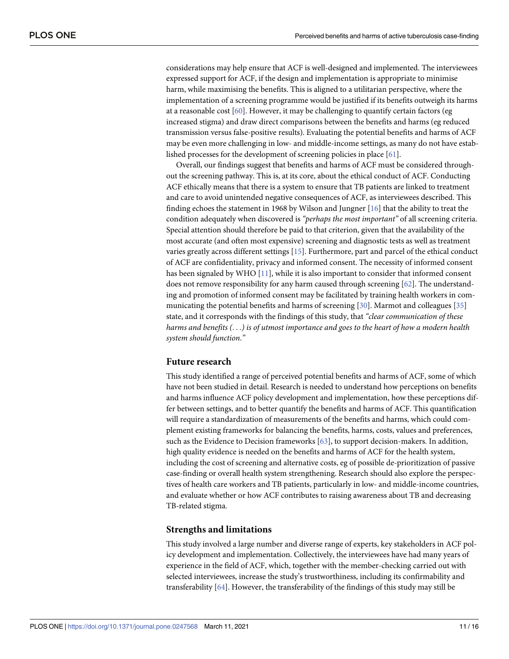<span id="page-10-0"></span>considerations may help ensure that ACF is well-designed and implemented. The interviewees expressed support for ACF, if the design and implementation is appropriate to minimise harm, while maximising the benefits. This is aligned to a utilitarian perspective, where the implementation of a screening programme would be justified if its benefits outweigh its harms at a reasonable cost [\[60\]](#page-15-0). However, it may be challenging to quantify certain factors (eg increased stigma) and draw direct comparisons between the benefits and harms (eg reduced transmission versus false-positive results). Evaluating the potential benefits and harms of ACF may be even more challenging in low- and middle-income settings, as many do not have established processes for the development of screening policies in place [\[61\]](#page-15-0).

Overall, our findings suggest that benefits and harms of ACF must be considered throughout the screening pathway. This is, at its core, about the ethical conduct of ACF. Conducting ACF ethically means that there is a system to ensure that TB patients are linked to treatment and care to avoid unintended negative consequences of ACF, as interviewees described. This finding echoes the statement in 1968 by Wilson and Jungner [[16](#page-13-0)] that the ability to treat the condition adequately when discovered is *"perhaps the most important"* of all screening criteria. Special attention should therefore be paid to that criterion, given that the availability of the most accurate (and often most expensive) screening and diagnostic tests as well as treatment varies greatly across different settings [[15](#page-12-0)]. Furthermore, part and parcel of the ethical conduct of ACF are confidentiality, privacy and informed consent. The necessity of informed consent has been signaled by WHO [[11](#page-12-0)], while it is also important to consider that informed consent does not remove responsibility for any harm caused through screening  $[62]$ . The understanding and promotion of informed consent may be facilitated by training health workers in communicating the potential benefits and harms of screening [[30](#page-13-0)]. Marmot and colleagues [[35](#page-13-0)] state, and it corresponds with the findings of this study, that *"clear communication of these* harms and benefits  $(\ldots)$  is of utmost importance and goes to the heart of how a modern health *system should function*.*"*

#### **Future research**

This study identified a range of perceived potential benefits and harms of ACF, some of which have not been studied in detail. Research is needed to understand how perceptions on benefits and harms influence ACF policy development and implementation, how these perceptions differ between settings, and to better quantify the benefits and harms of ACF. This quantification will require a standardization of measurements of the benefits and harms, which could complement existing frameworks for balancing the benefits, harms, costs, values and preferences, such as the Evidence to Decision frameworks [\[63](#page-15-0)], to support decision-makers. In addition, high quality evidence is needed on the benefits and harms of ACF for the health system, including the cost of screening and alternative costs, eg of possible de-prioritization of passive case-finding or overall health system strengthening. Research should also explore the perspectives of health care workers and TB patients, particularly in low- and middle-income countries, and evaluate whether or how ACF contributes to raising awareness about TB and decreasing TB-related stigma.

#### **Strengths and limitations**

This study involved a large number and diverse range of experts, key stakeholders in ACF policy development and implementation. Collectively, the interviewees have had many years of experience in the field of ACF, which, together with the member-checking carried out with selected interviewees, increase the study's trustworthiness, including its confirmability and transferability [\[64\]](#page-15-0). However, the transferability of the findings of this study may still be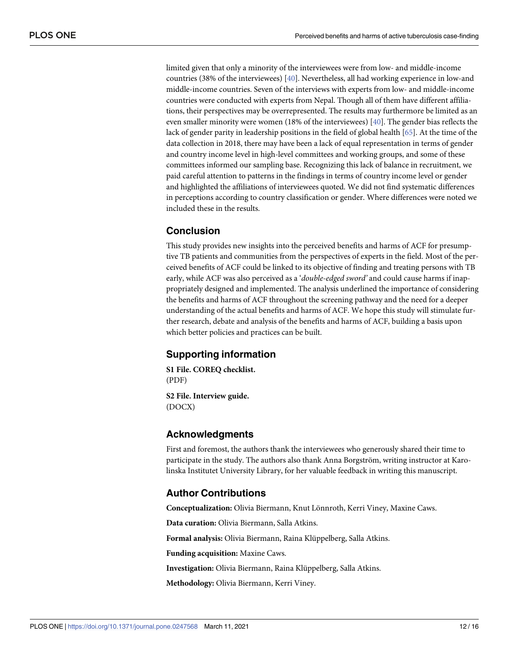<span id="page-11-0"></span>limited given that only a minority of the interviewees were from low- and middle-income countries (38% of the interviewees) [\[40\]](#page-14-0). Nevertheless, all had working experience in low-and middle-income countries. Seven of the interviews with experts from low- and middle-income countries were conducted with experts from Nepal. Though all of them have different affiliations, their perspectives may be overrepresented. The results may furthermore be limited as an even smaller minority were women (18% of the interviewees) [[40](#page-14-0)]. The gender bias reflects the lack of gender parity in leadership positions in the field of global health [\[65\]](#page-15-0). At the time of the data collection in 2018, there may have been a lack of equal representation in terms of gender and country income level in high-level committees and working groups, and some of these committees informed our sampling base. Recognizing this lack of balance in recruitment, we paid careful attention to patterns in the findings in terms of country income level or gender and highlighted the affiliations of interviewees quoted. We did not find systematic differences in perceptions according to country classification or gender. Where differences were noted we included these in the results.

#### **Conclusion**

This study provides new insights into the perceived benefits and harms of ACF for presumptive TB patients and communities from the perspectives of experts in the field. Most of the perceived benefits of ACF could be linked to its objective of finding and treating persons with TB early, while ACF was also perceived as a '*double-edged sword'* and could cause harms if inappropriately designed and implemented. The analysis underlined the importance of considering the benefits and harms of ACF throughout the screening pathway and the need for a deeper understanding of the actual benefits and harms of ACF. We hope this study will stimulate further research, debate and analysis of the benefits and harms of ACF, building a basis upon which better policies and practices can be built.

#### **Supporting information**

**S1 [File.](http://www.plosone.org/article/fetchSingleRepresentation.action?uri=info:doi/10.1371/journal.pone.0247568.s001) COREQ checklist.** (PDF)

**S2 [File.](http://www.plosone.org/article/fetchSingleRepresentation.action?uri=info:doi/10.1371/journal.pone.0247568.s002) Interview guide.** (DOCX)

#### **Acknowledgments**

First and foremost, the authors thank the interviewees who generously shared their time to participate in the study. The authors also thank Anna Borgström, writing instructor at Karolinska Institutet University Library, for her valuable feedback in writing this manuscript.

## **Author Contributions**

**Conceptualization:** Olivia Biermann, Knut Lönnroth, Kerri Viney, Maxine Caws.

**Data curation:** Olivia Biermann, Salla Atkins.

Formal analysis: Olivia Biermann, Raina Klüppelberg, Salla Atkins.

**Funding acquisition:** Maxine Caws.

**Investigation:** Olivia Biermann, Raina Klüppelberg, Salla Atkins.

**Methodology:** Olivia Biermann, Kerri Viney.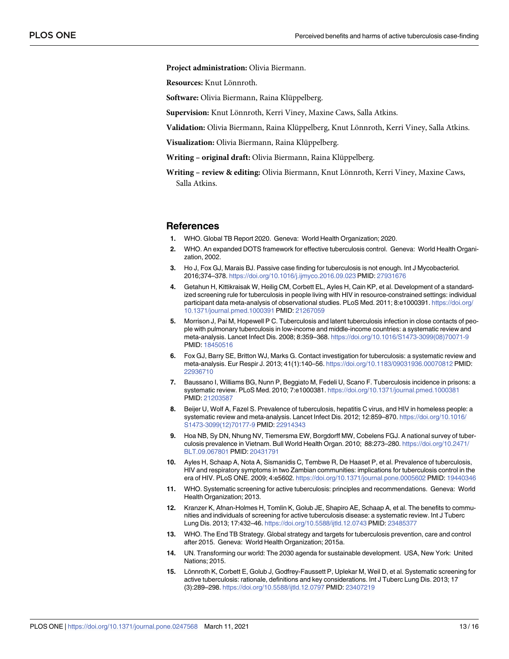<span id="page-12-0"></span>**Project administration:** Olivia Biermann.

**Resources:** Knut Lönnroth.

**Software:** Olivia Biermann, Raina Klüppelberg.

Supervision: Knut Lönnroth, Kerri Viney, Maxine Caws, Salla Atkins.

Validation: Olivia Biermann, Raina Klüppelberg, Knut Lönnroth, Kerri Viney, Salla Atkins.

**Visualization:** Olivia Biermann, Raina Klüppelberg.

**Writing** – **original draft:** Olivia Biermann, Raina Klüppelberg.

**Writing – review & editing:** Olivia Biermann, Knut Lönnroth, Kerri Viney, Maxine Caws, Salla Atkins.

#### **References**

- **[1](#page-1-0).** WHO. Global TB Report 2020. Geneva: World Health Organization; 2020.
- **[2](#page-1-0).** WHO. An expanded DOTS framework for effective tuberculosis control. Geneva: World Health Organization, 2002.
- **[3](#page-1-0).** Ho J, Fox GJ, Marais BJ. Passive case finding for tuberculosis is not enough. Int J Mycobacteriol. 2016;374–378. <https://doi.org/10.1016/j.ijmyco.2016.09.023> PMID: [27931676](http://www.ncbi.nlm.nih.gov/pubmed/27931676)
- **[4](#page-1-0).** Getahun H, Kittikraisak W, Heilig CM, Corbett EL, Ayles H, Cain KP, et al. Development of a standardized screening rule for tuberculosis in people living with HIV in resource-constrained settings: individual participant data meta-analysis of observational studies. PLoS Med. 2011; 8:e1000391. [https://doi.org/](https://doi.org/10.1371/journal.pmed.1000391) [10.1371/journal.pmed.1000391](https://doi.org/10.1371/journal.pmed.1000391) PMID: [21267059](http://www.ncbi.nlm.nih.gov/pubmed/21267059)
- **5.** Morrison J, Pai M, Hopewell P C. Tuberculosis and latent tuberculosis infection in close contacts of people with pulmonary tuberculosis in low-income and middle-income countries: a systematic review and meta-analysis. Lancet Infect Dis. 2008; 8:359–368. [https://doi.org/10.1016/S1473-3099\(08\)70071-9](https://doi.org/10.1016/S1473-3099%2808%2970071-9) PMID: [18450516](http://www.ncbi.nlm.nih.gov/pubmed/18450516)
- **6.** Fox GJ, Barry SE, Britton WJ, Marks G. Contact investigation for tuberculosis: a systematic review and meta-analysis. Eur Respir J. 2013; 41(1):140–56. <https://doi.org/10.1183/09031936.00070812> PMID: [22936710](http://www.ncbi.nlm.nih.gov/pubmed/22936710)
- **7.** Baussano I, Williams BG, Nunn P, Beggiato M, Fedeli U, Scano F. Tuberculosis incidence in prisons: a systematic review. PLoS Med. 2010; 7:e1000381. <https://doi.org/10.1371/journal.pmed.1000381> PMID: [21203587](http://www.ncbi.nlm.nih.gov/pubmed/21203587)
- **[8](#page-1-0).** Beijer U, Wolf A, Fazel S. Prevalence of tuberculosis, hepatitis C virus, and HIV in homeless people: a systematic review and meta-analysis. Lancet Infect Dis. 2012; 12:859–870. [https://doi.org/10.1016/](https://doi.org/10.1016/S1473-3099%2812%2970177-9) [S1473-3099\(12\)70177-9](https://doi.org/10.1016/S1473-3099%2812%2970177-9) PMID: [22914343](http://www.ncbi.nlm.nih.gov/pubmed/22914343)
- **[9](#page-1-0).** Hoa NB, Sy DN, Nhung NV, Tiemersma EW, Borgdorff MW, Cobelens FGJ. A national survey of tuberculosis prevalence in Vietnam. Bull World Health Organ. 2010; 88:273–280. [https://doi.org/10.2471/](https://doi.org/10.2471/BLT.09.067801) [BLT.09.067801](https://doi.org/10.2471/BLT.09.067801) PMID: [20431791](http://www.ncbi.nlm.nih.gov/pubmed/20431791)
- **[10](#page-1-0).** Ayles H, Schaap A, Nota A, Sismanidis C, Tembwe R, De Haaset P, et al. Prevalence of tuberculosis, HIV and respiratory symptoms in two Zambian communities: implications for tuberculosis control in the era of HIV. PLoS ONE. 2009; 4:e5602. <https://doi.org/10.1371/journal.pone.0005602> PMID: [19440346](http://www.ncbi.nlm.nih.gov/pubmed/19440346)
- **[11](#page-1-0).** WHO. Systematic screening for active tuberculosis: principles and recommendations. Geneva: World Health Organization; 2013.
- **[12](#page-1-0).** Kranzer K, Afnan-Holmes H, Tomlin K, Golub JE, Shapiro AE, Schaap A, et al. The benefits to communities and individuals of screening for active tuberculosis disease: a systematic review. Int J Tuberc Lung Dis. 2013; 17:432–46. <https://doi.org/10.5588/ijtld.12.0743> PMID: [23485377](http://www.ncbi.nlm.nih.gov/pubmed/23485377)
- **[13](#page-1-0).** WHO. The End TB Strategy. Global strategy and targets for tuberculosis prevention, care and control after 2015. Geneva: World Health Organization; 2015a.
- **[14](#page-1-0).** UN. Transforming our world: The 2030 agenda for sustainable development. USA, New York: United Nations; 2015.
- **[15](#page-1-0).** Lönnroth K, Corbett E, Golub J, Godfrey-Faussett P, Uplekar M, Weil D, et al. Systematic screening for active tuberculosis: rationale, definitions and key considerations. Int J Tuberc Lung Dis. 2013; 17 (3):289–298. <https://doi.org/10.5588/ijtld.12.0797> PMID: [23407219](http://www.ncbi.nlm.nih.gov/pubmed/23407219)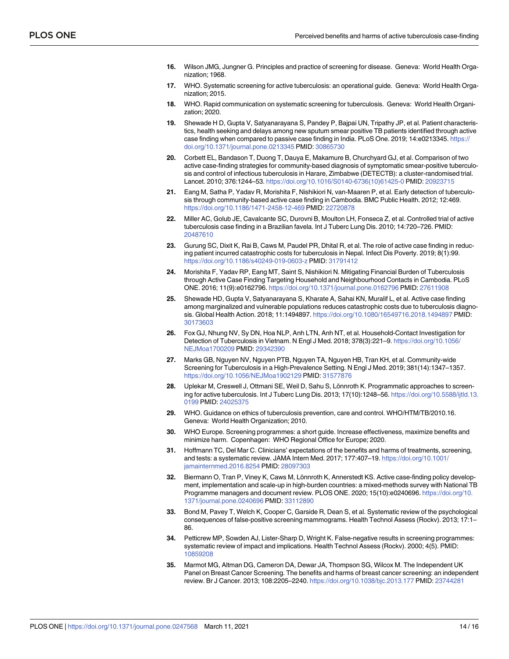- <span id="page-13-0"></span>**[16](#page-1-0).** Wilson JMG, Jungner G. Principles and practice of screening for disease. Geneva: World Health Organization; 1968.
- **[17](#page-1-0).** WHO. Systematic screening for active tuberculosis: an operational guide. Geneva: World Health Organization; 2015.
- **[18](#page-1-0).** WHO. Rapid communication on systematic screening for tuberculosis. Geneva: World Health Organization; 2020.
- **[19](#page-1-0).** Shewade H D, Gupta V, Satyanarayana S, Pandey P, Bajpai UN, Tripathy JP, et al. Patient characteristics, health seeking and delays among new sputum smear positive TB patients identified through active case finding when compared to passive case finding in India. PLoS One. 2019; 14:e0213345. [https://](https://doi.org/10.1371/journal.pone.0213345) [doi.org/10.1371/journal.pone.0213345](https://doi.org/10.1371/journal.pone.0213345) PMID: [30865730](http://www.ncbi.nlm.nih.gov/pubmed/30865730)
- **[20](#page-1-0).** Corbett EL, Bandason T, Duong T, Dauya E, Makamure B, Churchyard GJ, et al. Comparison of two active case-finding strategies for community-based diagnosis of symptomatic smear-positive tuberculosis and control of infectious tuberculosis in Harare, Zimbabwe (DETECTB): a cluster-randomised trial. Lancet. 2010; 376:1244–53. [https://doi.org/10.1016/S0140-6736\(10\)61425-0](https://doi.org/10.1016/S0140-6736%2810%2961425-0) PMID: [20923715](http://www.ncbi.nlm.nih.gov/pubmed/20923715)
- **[21](#page-2-0).** Eang M, Satha P, Yadav R, Morishita F, Nishikiori N, van-Maaren P, et al. Early detection of tuberculosis through community-based active case finding in Cambodia. BMC Public Health. 2012; 12:469. <https://doi.org/10.1186/1471-2458-12-469> PMID: [22720878](http://www.ncbi.nlm.nih.gov/pubmed/22720878)
- **[22](#page-1-0).** Miller AC, Golub JE, Cavalcante SC, Durovni B, Moulton LH, Fonseca Z, et al. Controlled trial of active tuberculosis case finding in a Brazilian favela. Int J Tuberc Lung Dis. 2010; 14:720–726. PMID: [20487610](http://www.ncbi.nlm.nih.gov/pubmed/20487610)
- **[23](#page-1-0).** Gurung SC, Dixit K, Rai B, Caws M, Paudel PR, Dhital R, et al. The role of active case finding in reducing patient incurred catastrophic costs for tuberculosis in Nepal. Infect Dis Poverty. 2019; 8(1):99. <https://doi.org/10.1186/s40249-019-0603-z> PMID: [31791412](http://www.ncbi.nlm.nih.gov/pubmed/31791412)
- **24.** Morishita F, Yadav RP, Eang MT, Saint S, Nishikiori N. Mitigating Financial Burden of Tuberculosis through Active Case Finding Targeting Household and Neighbourhood Contacts in Cambodia. PLoS ONE. 2016; 11(9):e0162796. <https://doi.org/10.1371/journal.pone.0162796> PMID: [27611908](http://www.ncbi.nlm.nih.gov/pubmed/27611908)
- **[25](#page-1-0).** Shewade HD, Gupta V, Satyanarayana S, Kharate A, Sahai KN, Muralif L, et al. Active case finding among marginalized and vulnerable populations reduces catastrophic costs due to tuberculosis diagnosis. Global Health Action. 2018; 11:1494897. <https://doi.org/10.1080/16549716.2018.1494897> PMID: [30173603](http://www.ncbi.nlm.nih.gov/pubmed/30173603)
- **[26](#page-2-0).** Fox GJ, Nhung NV, Sy DN, Hoa NLP, Anh LTN, Anh NT, et al. Household-Contact Investigation for Detection of Tuberculosis in Vietnam. N Engl J Med. 2018; 378(3):221–9. [https://doi.org/10.1056/](https://doi.org/10.1056/NEJMoa1700209) [NEJMoa1700209](https://doi.org/10.1056/NEJMoa1700209) PMID: [29342390](http://www.ncbi.nlm.nih.gov/pubmed/29342390)
- **[27](#page-2-0).** Marks GB, Nguyen NV, Nguyen PTB, Nguyen TA, Nguyen HB, Tran KH, et al. Community-wide Screening for Tuberculosis in a High-Prevalence Setting. N Engl J Med. 2019; 381(14):1347–1357. <https://doi.org/10.1056/NEJMoa1902129> PMID: [31577876](http://www.ncbi.nlm.nih.gov/pubmed/31577876)
- **[28](#page-2-0).** Uplekar M, Creswell J, Ottmani SE, Weil D, Sahu S, Lönnroth K. Programmatic approaches to screening for active tuberculosis. Int J Tuberc Lung Dis. 2013; 17(10):1248–56. [https://doi.org/10.5588/ijtld.13.](https://doi.org/10.5588/ijtld.13.0199) [0199](https://doi.org/10.5588/ijtld.13.0199) PMID: [24025375](http://www.ncbi.nlm.nih.gov/pubmed/24025375)
- **[29](#page-2-0).** WHO. Guidance on ethics of tuberculosis prevention, care and control. WHO/HTM/TB/2010.16. Geneva: World Health Organization; 2010.
- **[30](#page-2-0).** WHO Europe. Screening programmes: a short guide. Increase effectiveness, maximize benefits and minimize harm. Copenhagen: WHO Regional Office for Europe; 2020.
- **[31](#page-2-0).** Hoffmann TC, Del Mar C. Clinicians' expectations of the benefits and harms of treatments, screening, and tests: a systematic review. JAMA Intern Med. 2017; 177:407–19. [https://doi.org/10.1001/](https://doi.org/10.1001/jamainternmed.2016.8254) [jamainternmed.2016.8254](https://doi.org/10.1001/jamainternmed.2016.8254) PMID: [28097303](http://www.ncbi.nlm.nih.gov/pubmed/28097303)
- **[32](#page-2-0).** Biermann O, Tran P, Viney K, Caws M, Lönnroth K, Annerstedt KS. Active case-finding policy development, implementation and scale-up in high-burden countries: a mixed-methods survey with National TB Programme managers and document review. PLOS ONE. 2020; 15(10):e0240696. [https://doi.org/10.](https://doi.org/10.1371/journal.pone.0240696) [1371/journal.pone.0240696](https://doi.org/10.1371/journal.pone.0240696) PMID: [33112890](http://www.ncbi.nlm.nih.gov/pubmed/33112890)
- **[33](#page-2-0).** Bond M, Pavey T, Welch K, Cooper C, Garside R, Dean S, et al. Systematic review of the psychological consequences of false-positive screening mammograms. Health Technol Assess (Rockv). 2013; 17:1– 86.
- **34.** Petticrew MP, Sowden AJ, Lister-Sharp D, Wright K. False-negative results in screening programmes: systematic review of impact and implications. Health Technol Assess (Rockv). 2000; 4(5). PMID: [10859208](http://www.ncbi.nlm.nih.gov/pubmed/10859208)
- **[35](#page-2-0).** Marmot MG, Altman DG, Cameron DA, Dewar JA, Thompson SG, Wilcox M. The Independent UK Panel on Breast Cancer Screening. The benefits and harms of breast cancer screening: an independent review. Br J Cancer. 2013; 108:2205–2240. <https://doi.org/10.1038/bjc.2013.177> PMID: [23744281](http://www.ncbi.nlm.nih.gov/pubmed/23744281)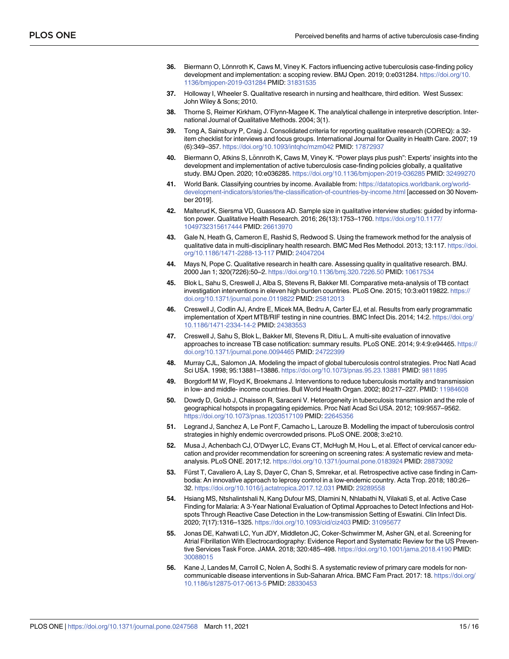- <span id="page-14-0"></span>**[36](#page-2-0).** Biermann O, Lönnroth K, Caws M, Viney K. Factors influencing active tuberculosis case-finding policy development and implementation: a scoping review. BMJ Open. 2019; 0:e031284. [https://doi.org/10.](https://doi.org/10.1136/bmjopen-2019-031284) [1136/bmjopen-2019-031284](https://doi.org/10.1136/bmjopen-2019-031284) PMID: [31831535](http://www.ncbi.nlm.nih.gov/pubmed/31831535)
- **[37](#page-2-0).** Holloway I, Wheeler S. Qualitative research in nursing and healthcare, third edition. West Sussex: John Wiley & Sons; 2010.
- **[38](#page-2-0).** Thorne S, Reimer Kirkham, O'Flynn-Magee K. The analytical challenge in interpretive description. International Journal of Qualitative Methods. 2004; 3(1).
- **[39](#page-2-0).** Tong A, Sainsbury P, Craig J. Consolidated criteria for reporting qualitative research (COREQ): a 32 item checklist for interviews and focus groups. International Journal for Quality in Health Care. 2007; 19 (6):349–357. <https://doi.org/10.1093/intqhc/mzm042> PMID: [17872937](http://www.ncbi.nlm.nih.gov/pubmed/17872937)
- **[40](#page-2-0).** Biermann O, Atkins S, Lönnroth K, Caws M, Viney K. "Power plays plus push": Experts' insights into the development and implementation of active tuberculosis case-finding policies globally, a qualitative study. BMJ Open. 2020; 10:e036285. <https://doi.org/10.1136/bmjopen-2019-036285> PMID: [32499270](http://www.ncbi.nlm.nih.gov/pubmed/32499270)
- **[41](#page-3-0).** World Bank. Classifying countries by income. Available from: [https://datatopics.worldbank.org/world](https://datatopics.worldbank.org/world-development-indicators/stories/the-classification-of-countries-by-income.html)[development-indicators/stories/the-classification-of-countries-by-income.html](https://datatopics.worldbank.org/world-development-indicators/stories/the-classification-of-countries-by-income.html) [accessed on 30 November 2019].
- **[42](#page-3-0).** Malterud K, Siersma VD, Guassora AD. Sample size in qualitative interview studies: guided by information power. Qualitative Health Research. 2016; 26(13):1753–1760. [https://doi.org/10.1177/](https://doi.org/10.1177/1049732315617444) [1049732315617444](https://doi.org/10.1177/1049732315617444) PMID: [26613970](http://www.ncbi.nlm.nih.gov/pubmed/26613970)
- **[43](#page-4-0).** Gale N, Heath G, Cameron E, Rashid S, Redwood S. Using the framework method for the analysis of qualitative data in multi-disciplinary health research. BMC Med Res Methodol. 2013; 13:117. [https://doi.](https://doi.org/10.1186/1471-2288-13-117) [org/10.1186/1471-2288-13-117](https://doi.org/10.1186/1471-2288-13-117) PMID: [24047204](http://www.ncbi.nlm.nih.gov/pubmed/24047204)
- **[44](#page-4-0).** Mays N, Pope C. Qualitative research in health care. Assessing quality in qualitative research. BMJ. 2000 Jan 1; 320(7226):50–2. <https://doi.org/10.1136/bmj.320.7226.50> PMID: [10617534](http://www.ncbi.nlm.nih.gov/pubmed/10617534)
- **[45](#page-9-0).** Blok L, Sahu S, Creswell J, Alba S, Stevens R, Bakker MI. Comparative meta-analysis of TB contact investigation interventions in eleven high burden countries. PLoS One. 2015; 10:3:e0119822. [https://](https://doi.org/10.1371/journal.pone.0119822) [doi.org/10.1371/journal.pone.0119822](https://doi.org/10.1371/journal.pone.0119822) PMID: [25812013](http://www.ncbi.nlm.nih.gov/pubmed/25812013)
- **46.** Creswell J, Codlin AJ, Andre E, Micek MA, Bedru A, Carter EJ, et al. Results from early programmatic implementation of Xpert MTB/RIF testing in nine countries. BMC Infect Dis. 2014; 14:2. [https://doi.org/](https://doi.org/10.1186/1471-2334-14-2) [10.1186/1471-2334-14-2](https://doi.org/10.1186/1471-2334-14-2) PMID: [24383553](http://www.ncbi.nlm.nih.gov/pubmed/24383553)
- **[47](#page-9-0).** Creswell J, Sahu S, Blok L, Bakker MI, Stevens R, Ditiu L. A multi-site evaluation of innovative approaches to increase TB case notification: summary results. PLoS ONE. 2014; 9:4:9:e94465. [https://](https://doi.org/10.1371/journal.pone.0094465) [doi.org/10.1371/journal.pone.0094465](https://doi.org/10.1371/journal.pone.0094465) PMID: [24722399](http://www.ncbi.nlm.nih.gov/pubmed/24722399)
- **[48](#page-9-0).** Murray CJL, Salomon JA. Modeling the impact of global tuberculosis control strategies. Proc Natl Acad Sci USA. 1998; 95:13881–13886. <https://doi.org/10.1073/pnas.95.23.13881> PMID: [9811895](http://www.ncbi.nlm.nih.gov/pubmed/9811895)
- **49.** Borgdorff M W, Floyd K, Broekmans J. Interventions to reduce tuberculosis mortality and transmission in low- and middle- income countries. Bull World Health Organ. 2002; 80:217–227. PMID: [11984608](http://www.ncbi.nlm.nih.gov/pubmed/11984608)
- **50.** Dowdy D, Golub J, Chaisson R, Saraceni V. Heterogeneity in tuberculosis transmission and the role of geographical hotspots in propagating epidemics. Proc Natl Acad Sci USA. 2012; 109:9557–9562. <https://doi.org/10.1073/pnas.1203517109> PMID: [22645356](http://www.ncbi.nlm.nih.gov/pubmed/22645356)
- **[51](#page-9-0).** Legrand J, Sanchez A, Le Pont F, Camacho L, Larouze B. Modelling the impact of tuberculosis control strategies in highly endemic overcrowded prisons. PLoS ONE. 2008; 3:e210.
- **[52](#page-9-0).** Musa J, Achenbach CJ, O'Dwyer LC, Evans CT, McHugh M, Hou L, et al. Effect of cervical cancer education and provider recommendation for screening on screening rates: A systematic review and metaanalysis. PLoS ONE. 2017;12. <https://doi.org/10.1371/journal.pone.0183924> PMID: [28873092](http://www.ncbi.nlm.nih.gov/pubmed/28873092)
- **53.** Fürst T, Cavaliero A, Lay S, Dayer C, Chan S, Smrekar, et al. Retrospective active case finding in Cambodia: An innovative approach to leprosy control in a low-endemic country. Acta Trop. 2018; 180:26– 32. <https://doi.org/10.1016/j.actatropica.2017.12.031> PMID: [29289558](http://www.ncbi.nlm.nih.gov/pubmed/29289558)
- **[54](#page-9-0).** Hsiang MS, Ntshalintshali N, Kang Dufour MS, Dlamini N, Nhlabathi N, Vilakati S, et al. Active Case Finding for Malaria: A 3-Year National Evaluation of Optimal Approaches to Detect Infections and Hotspots Through Reactive Case Detection in the Low-transmission Setting of Eswatini. Clin Infect Dis. 2020; 7(17):1316–1325. <https://doi.org/10.1093/cid/ciz403> PMID: [31095677](http://www.ncbi.nlm.nih.gov/pubmed/31095677)
- **[55](#page-9-0).** Jonas DE, Kahwati LC, Yun JDY, Middleton JC, Coker-Schwimmer M, Asher GN, et al. Screening for Atrial Fibrillation With Electrocardiography: Evidence Report and Systematic Review for the US Preventive Services Task Force. JAMA. 2018; 320:485–498. <https://doi.org/10.1001/jama.2018.4190> PMID: [30088015](http://www.ncbi.nlm.nih.gov/pubmed/30088015)
- **[56](#page-9-0).** Kane J, Landes M, Carroll C, Nolen A, Sodhi S. A systematic review of primary care models for noncommunicable disease interventions in Sub-Saharan Africa. BMC Fam Pract. 2017: 18. [https://doi.org/](https://doi.org/10.1186/s12875-017-0613-5) [10.1186/s12875-017-0613-5](https://doi.org/10.1186/s12875-017-0613-5) PMID: [28330453](http://www.ncbi.nlm.nih.gov/pubmed/28330453)